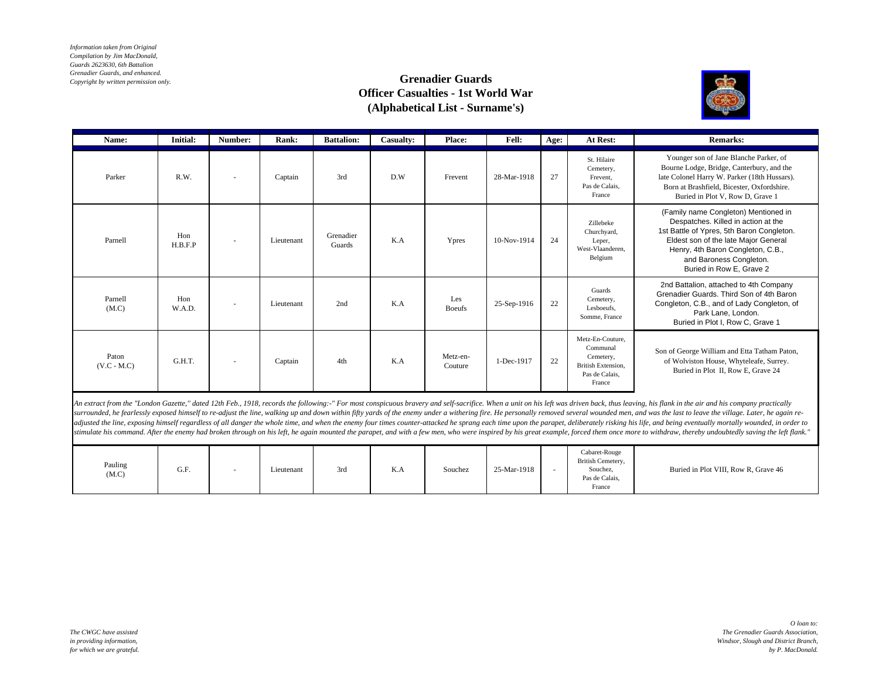*Information taken from Original Compilation by Jim MacDonald, Guards 2623630, 6th Battalion Grenadier Guards, and enhanced. Copyright by written permission only.*

## **Grenadier Guards Officer Casualties - 1st World War (Alphabetical List - Surname's)**



| Name:                  | Initial:       | Number:                  | Rank:      | <b>Battalion:</b>   | <b>Casualty:</b> | <b>Place:</b>        | <b>Fell:</b> | Age: | At Rest:                                                                                    | <b>Remarks:</b>                                                                                                                                                                                                                                              |
|------------------------|----------------|--------------------------|------------|---------------------|------------------|----------------------|--------------|------|---------------------------------------------------------------------------------------------|--------------------------------------------------------------------------------------------------------------------------------------------------------------------------------------------------------------------------------------------------------------|
| Parker                 | R.W.           | $\overline{\phantom{a}}$ | Captain    | 3rd                 | D.W              | Frevent              | 28-Mar-1918  | 27   | St. Hilaire<br>Cemetery,<br>Frevent.<br>Pas de Calais,<br>France                            | Younger son of Jane Blanche Parker, of<br>Bourne Lodge, Bridge, Canterbury, and the<br>late Colonel Harry W. Parker (18th Hussars).<br>Born at Brashfield, Bicester, Oxfordshire.<br>Buried in Plot V, Row D, Grave 1                                        |
| Parnell                | Hon<br>H.B.F.P | $\overline{\phantom{a}}$ | Lieutenant | Grenadier<br>Guards | K.A              | Ypres                | 10-Nov-1914  | 24   | Zillebeke<br>Churchyard,<br>Leper,<br>West-Vlaanderen.<br>Belgium                           | (Family name Congleton) Mentioned in<br>Despatches. Killed in action at the<br>1st Battle of Ypres, 5th Baron Congleton.<br>Eldest son of the late Major General<br>Henry, 4th Baron Congleton, C.B.,<br>and Baroness Congleton.<br>Buried in Row E, Grave 2 |
| Parnell<br>(M.C)       | Hon<br>W.A.D.  | $\overline{\phantom{a}}$ | Lieutenant | 2nd                 | K.A              | Les<br><b>Boeufs</b> | 25-Sep-1916  | 22   | Guards<br>Cemetery,<br>Lesboeufs.<br>Somme, France                                          | 2nd Battalion, attached to 4th Company<br>Grenadier Guards. Third Son of 4th Baron<br>Congleton, C.B., and of Lady Congleton, of<br>Park Lane, London.<br>Buried in Plot I, Row C, Grave 1                                                                   |
| Paton<br>$(V.C - M.C)$ | G.H.T.         | $\overline{\phantom{a}}$ | Captain    | 4th                 | K.A              | Metz-en-<br>Couture  | 1-Dec-1917   | 22   | Metz-En-Couture.<br>Communal<br>Cemetery,<br>British Extension,<br>Pas de Calais.<br>France | Son of George William and Etta Tatham Paton,<br>of Wolviston House, Whyteleafe, Surrey.<br>Buried in Plot II, Row E, Grave 24                                                                                                                                |

An extract from the "London Gazette," dated 12th Feb., 1918, records the following:-" For most conspicuous bravery and self-sacrifice. When a unit on his left was driven back, thus leaving, his flank in the air and his com surrounded, he fearlessly exposed himself to re-adjust the line, walking up and down within fifty yards of the enemy under a withering fire. He personally removed several wounded men, and was the last to leave the village. adjusted the line, exposing himself regardless of all danger the whole time, and when the enemy four times counter-attacked he sprang each time upon the parapet, deliberately risking his life, and being eventually mortally stimulate his command. After the enemy had broken through on his left, he again mounted the parapet, and with a few men, who were inspired by his great example, forced them once more to withdraw, thereby undoubtedly saving

| Pauling<br>$(M.C)$ | G.F. | $\overline{\phantom{a}}$ | Lieutenant | 3rd | $\mathbf{L}$<br>N.A<br>the control of the control of | Souchez | 25-Mar-1918 |  | Cabaret-Rouge<br>British Cemetery,<br>Souchez,<br>Pas de Calais,<br>France | Buried in Plot VIII, Row R, Grave 46 |
|--------------------|------|--------------------------|------------|-----|------------------------------------------------------|---------|-------------|--|----------------------------------------------------------------------------|--------------------------------------|
|--------------------|------|--------------------------|------------|-----|------------------------------------------------------|---------|-------------|--|----------------------------------------------------------------------------|--------------------------------------|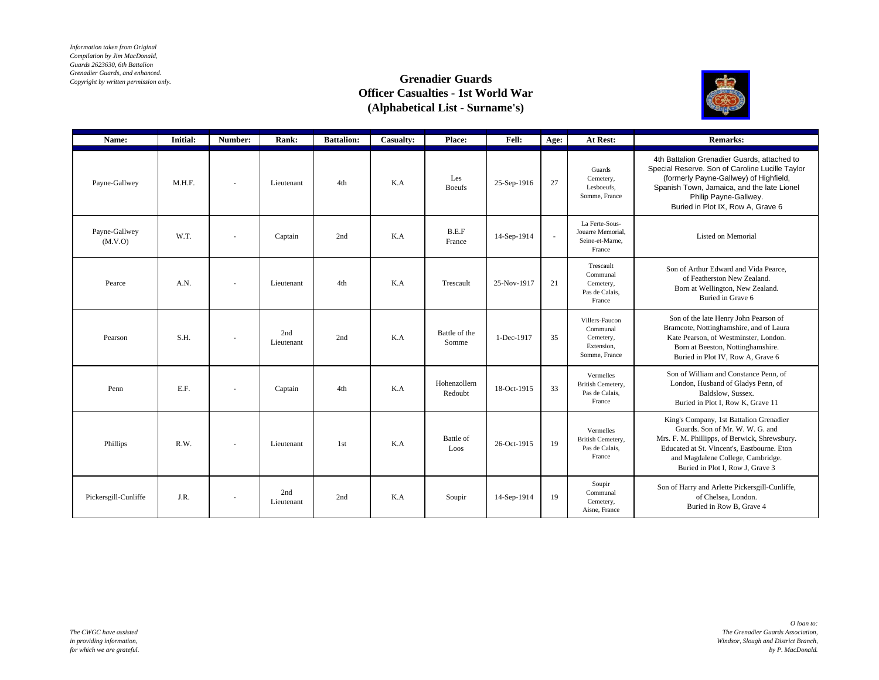*Information taken from Original Compilation by Jim MacDonald, Guards 2623630, 6th Battalion Grenadier Guards, and enhanced. Copyright by written permission only.*

## **Grenadier Guards Officer Casualties - 1st World War (Alphabetical List - Surname's)**



| Name:                    | <b>Initial:</b> | Number: | Rank:             | <b>Battalion:</b> | Casualty: | Place:                  | Fell:       | Age:   | At Rest:                                                               | <b>Remarks:</b>                                                                                                                                                                                                                                      |
|--------------------------|-----------------|---------|-------------------|-------------------|-----------|-------------------------|-------------|--------|------------------------------------------------------------------------|------------------------------------------------------------------------------------------------------------------------------------------------------------------------------------------------------------------------------------------------------|
| Payne-Gallwey            | M.H.F.          |         | Lieutenant        | 4th               | K.A       | Les<br><b>Boeufs</b>    | 25-Sep-1916 | 27     | Guards<br>Cemetery,<br>Lesboeufs,<br>Somme, France                     | 4th Battalion Grenadier Guards, attached to<br>Special Reserve. Son of Caroline Lucille Taylor<br>(formerly Payne-Gallwey) of Highfield,<br>Spanish Town, Jamaica, and the late Lionel<br>Philip Payne-Gallwey.<br>Buried in Plot IX, Row A, Grave 6 |
| Payne-Gallwey<br>(M.V.O) | W.T.            |         | Captain           | 2nd               | K.A       | B.E.F<br>France         | 14-Sep-1914 | $\sim$ | La Ferte-Sous-<br>Jouarre Memorial.<br>Seine-et-Marne.<br>France       | Listed on Memorial                                                                                                                                                                                                                                   |
| Pearce                   | A.N.            |         | Lieutenant        | 4th               | K.A       | Trescault               | 25-Nov-1917 | 21     | Trescault<br>Communal<br>Cemetery,<br>Pas de Calais,<br>France         | Son of Arthur Edward and Vida Pearce.<br>of Featherston New Zealand.<br>Born at Wellington, New Zealand.<br>Buried in Grave 6                                                                                                                        |
| Pearson                  | S.H.            |         | 2nd<br>Lieutenant | 2nd               | K.A       | Battle of the<br>Somme  | 1-Dec-1917  | 35     | Villers-Faucon<br>Communal<br>Cemetery,<br>Extension.<br>Somme, France | Son of the late Henry John Pearson of<br>Bramcote, Nottinghamshire, and of Laura<br>Kate Pearson, of Westminster, London.<br>Born at Beeston, Nottinghamshire.<br>Buried in Plot IV, Row A, Grave 6                                                  |
| Penn                     | E.F.            |         | Captain           | 4th               | K.A       | Hohenzollern<br>Redoubt | 18-Oct-1915 | 33     | Vermelles<br>British Cemetery,<br>Pas de Calais,<br>France             | Son of William and Constance Penn, of<br>London, Husband of Gladys Penn, of<br>Baldslow, Sussex.<br>Buried in Plot I, Row K, Grave 11                                                                                                                |
| Phillips                 | R.W.            |         | Lieutenant        | 1st               | K.A       | Battle of<br>Loos       | 26-Oct-1915 | 19     | Vermelles<br>British Cemetery,<br>Pas de Calais,<br>France             | King's Company, 1st Battalion Grenadier<br>Guards. Son of Mr. W. W. G. and<br>Mrs. F. M. Phillipps, of Berwick, Shrewsbury.<br>Educated at St. Vincent's, Eastbourne. Eton<br>and Magdalene College, Cambridge.<br>Buried in Plot I. Row J. Grave 3  |
| Pickersgill-Cunliffe     | J.R.            |         | 2nd<br>Lieutenant | 2nd               | K.A       | Soupir                  | 14-Sep-1914 | 19     | Soupir<br>Communal<br>Cemetery,<br>Aisne, France                       | Son of Harry and Arlette Pickersgill-Cunliffe,<br>of Chelsea, London.<br>Buried in Row B, Grave 4                                                                                                                                                    |